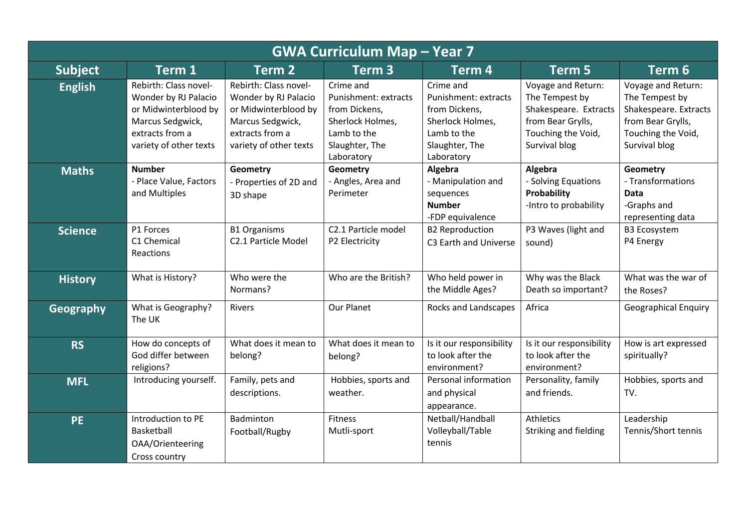| <b>GWA Curriculum Map - Year 7</b> |                                                                                                                                        |                                                                                                                                        |                                                                                                                       |                                                                                                                       |                                                                                                                           |                                                                                                                           |  |
|------------------------------------|----------------------------------------------------------------------------------------------------------------------------------------|----------------------------------------------------------------------------------------------------------------------------------------|-----------------------------------------------------------------------------------------------------------------------|-----------------------------------------------------------------------------------------------------------------------|---------------------------------------------------------------------------------------------------------------------------|---------------------------------------------------------------------------------------------------------------------------|--|
| <b>Subject</b>                     | Term 1                                                                                                                                 | Term <sub>2</sub>                                                                                                                      | Term <sub>3</sub>                                                                                                     | Term 4                                                                                                                | <b>Term 5</b>                                                                                                             | Term 6                                                                                                                    |  |
| <b>English</b>                     | Rebirth: Class novel-<br>Wonder by RJ Palacio<br>or Midwinterblood by<br>Marcus Sedgwick,<br>extracts from a<br>variety of other texts | Rebirth: Class novel-<br>Wonder by RJ Palacio<br>or Midwinterblood by<br>Marcus Sedgwick,<br>extracts from a<br>variety of other texts | Crime and<br>Punishment: extracts<br>from Dickens,<br>Sherlock Holmes,<br>Lamb to the<br>Slaughter, The<br>Laboratory | Crime and<br>Punishment: extracts<br>from Dickens,<br>Sherlock Holmes,<br>Lamb to the<br>Slaughter, The<br>Laboratory | Voyage and Return:<br>The Tempest by<br>Shakespeare. Extracts<br>from Bear Grylls,<br>Touching the Void,<br>Survival blog | Voyage and Return:<br>The Tempest by<br>Shakespeare. Extracts<br>from Bear Grylls,<br>Touching the Void,<br>Survival blog |  |
| <b>Maths</b>                       | <b>Number</b><br>- Place Value, Factors<br>and Multiples                                                                               | <b>Geometry</b><br>- Properties of 2D and<br>3D shape                                                                                  | <b>Geometry</b><br>- Angles, Area and<br>Perimeter                                                                    | Algebra<br>- Manipulation and<br>sequences<br><b>Number</b><br>-FDP equivalence                                       | Algebra<br>- Solving Equations<br>Probability<br>-Intro to probability                                                    | Geometry<br>- Transformations<br><b>Data</b><br>-Graphs and<br>representing data                                          |  |
| <b>Science</b>                     | P1 Forces<br>C1 Chemical<br>Reactions                                                                                                  | <b>B1 Organisms</b><br>C2.1 Particle Model                                                                                             | C2.1 Particle model<br>P2 Electricity                                                                                 | <b>B2 Reproduction</b><br>C3 Earth and Universe                                                                       | P3 Waves (light and<br>sound)                                                                                             | <b>B3 Ecosystem</b><br>P4 Energy                                                                                          |  |
| <b>History</b>                     | What is History?                                                                                                                       | Who were the<br>Normans?                                                                                                               | Who are the British?                                                                                                  | Who held power in<br>the Middle Ages?                                                                                 | Why was the Black<br>Death so important?                                                                                  | What was the war of<br>the Roses?                                                                                         |  |
| Geography                          | What is Geography?<br>The UK                                                                                                           | Rivers                                                                                                                                 | Our Planet                                                                                                            | Rocks and Landscapes                                                                                                  | Africa                                                                                                                    | <b>Geographical Enquiry</b>                                                                                               |  |
| <b>RS</b>                          | How do concepts of<br>God differ between<br>religions?                                                                                 | What does it mean to<br>belong?                                                                                                        | What does it mean to<br>belong?                                                                                       | Is it our responsibility<br>to look after the<br>environment?                                                         | Is it our responsibility<br>to look after the<br>environment?                                                             | How is art expressed<br>spiritually?                                                                                      |  |
| <b>MFL</b>                         | Introducing yourself.                                                                                                                  | Family, pets and<br>descriptions.                                                                                                      | Hobbies, sports and<br>weather.                                                                                       | Personal information<br>and physical<br>appearance.                                                                   | Personality, family<br>and friends.                                                                                       | Hobbies, sports and<br>TV.                                                                                                |  |
| <b>PE</b>                          | Introduction to PE<br>Basketball<br>OAA/Orienteering<br>Cross country                                                                  | Badminton<br>Football/Rugby                                                                                                            | Fitness<br>Mutli-sport                                                                                                | Netball/Handball<br>Volleyball/Table<br>tennis                                                                        | <b>Athletics</b><br>Striking and fielding                                                                                 | Leadership<br>Tennis/Short tennis                                                                                         |  |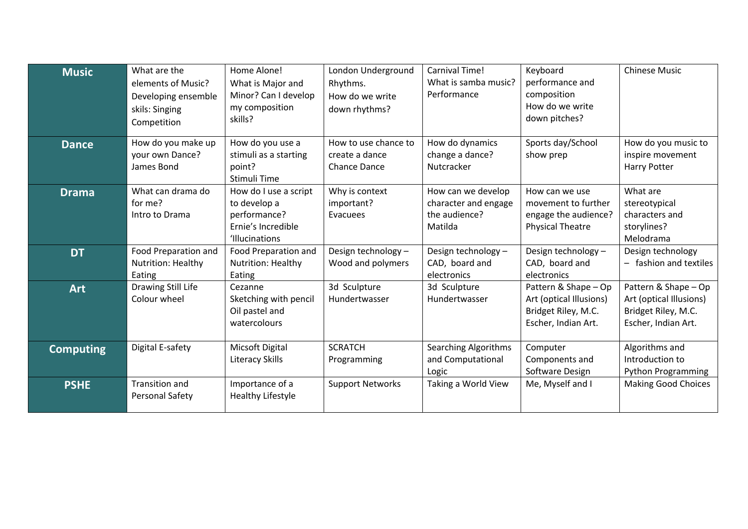| <b>Music</b>     | What are the<br>elements of Music?<br>Developing ensemble<br>skils: Singing<br>Competition | Home Alone!<br>What is Major and<br>Minor? Can I develop<br>my composition<br>skills?         | London Underground<br>Rhythms.<br>How do we write<br>down rhythms? | Carnival Time!<br>What is samba music?<br>Performance                  | Keyboard<br>performance and<br>composition<br>How do we write<br>down pitches?                | <b>Chinese Music</b>                                                                          |
|------------------|--------------------------------------------------------------------------------------------|-----------------------------------------------------------------------------------------------|--------------------------------------------------------------------|------------------------------------------------------------------------|-----------------------------------------------------------------------------------------------|-----------------------------------------------------------------------------------------------|
| <b>Dance</b>     | How do you make up<br>your own Dance?<br>James Bond                                        | How do you use a<br>stimuli as a starting<br>point?<br>Stimuli Time                           | How to use chance to<br>create a dance<br><b>Chance Dance</b>      | How do dynamics<br>change a dance?<br>Nutcracker                       | Sports day/School<br>show prep                                                                | How do you music to<br>inspire movement<br>Harry Potter                                       |
| <b>Drama</b>     | What can drama do<br>for me?<br>Intro to Drama                                             | How do I use a script<br>to develop a<br>performance?<br>Ernie's Incredible<br>'Illucinations | Why is context<br>important?<br>Evacuees                           | How can we develop<br>character and engage<br>the audience?<br>Matilda | How can we use<br>movement to further<br>engage the audience?<br><b>Physical Theatre</b>      | What are<br>stereotypical<br>characters and<br>storylines?<br>Melodrama                       |
| <b>DT</b>        | Food Preparation and<br>Nutrition: Healthy<br>Eating                                       | Food Preparation and<br>Nutrition: Healthy<br>Eating                                          | Design technology -<br>Wood and polymers                           | Design technology -<br>CAD, board and<br>electronics                   | Design technology -<br>CAD, board and<br>electronics                                          | Design technology<br>- fashion and textiles                                                   |
| <b>Art</b>       | Drawing Still Life<br>Colour wheel                                                         | Cezanne<br>Sketching with pencil<br>Oil pastel and<br>watercolours                            | 3d Sculpture<br>Hundertwasser                                      | 3d Sculpture<br>Hundertwasser                                          | Pattern & Shape - Op<br>Art (optical Illusions)<br>Bridget Riley, M.C.<br>Escher, Indian Art. | Pattern & Shape - Op<br>Art (optical Illusions)<br>Bridget Riley, M.C.<br>Escher, Indian Art. |
| <b>Computing</b> | Digital E-safety                                                                           | Micsoft Digital<br><b>Literacy Skills</b>                                                     | <b>SCRATCH</b><br>Programming                                      | <b>Searching Algorithms</b><br>and Computational<br>Logic              | Computer<br>Components and<br>Software Design                                                 | Algorithms and<br>Introduction to<br>Python Programming                                       |
| <b>PSHE</b>      | <b>Transition and</b><br>Personal Safety                                                   | Importance of a<br>Healthy Lifestyle                                                          | <b>Support Networks</b>                                            | Taking a World View                                                    | Me, Myself and I                                                                              | <b>Making Good Choices</b>                                                                    |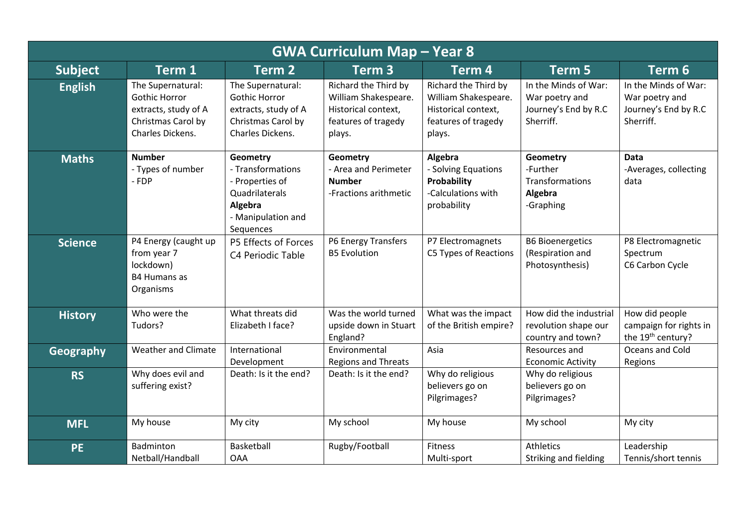| <b>GWA Curriculum Map - Year 8</b> |                                                                                                             |                                                                                                                  |                                                                                                      |                                                                                                      |                                                                             |                                                                             |  |
|------------------------------------|-------------------------------------------------------------------------------------------------------------|------------------------------------------------------------------------------------------------------------------|------------------------------------------------------------------------------------------------------|------------------------------------------------------------------------------------------------------|-----------------------------------------------------------------------------|-----------------------------------------------------------------------------|--|
| <b>Subject</b>                     | Term 1                                                                                                      | Term <sub>2</sub>                                                                                                | Term <sub>3</sub>                                                                                    | Term 4                                                                                               | Term 5                                                                      | Term 6                                                                      |  |
| <b>English</b>                     | The Supernatural:<br><b>Gothic Horror</b><br>extracts, study of A<br>Christmas Carol by<br>Charles Dickens. | The Supernatural:<br><b>Gothic Horror</b><br>extracts, study of A<br>Christmas Carol by<br>Charles Dickens.      | Richard the Third by<br>William Shakespeare.<br>Historical context,<br>features of tragedy<br>plays. | Richard the Third by<br>William Shakespeare.<br>Historical context,<br>features of tragedy<br>plays. | In the Minds of War:<br>War poetry and<br>Journey's End by R.C<br>Sherriff. | In the Minds of War:<br>War poetry and<br>Journey's End by R.C<br>Sherriff. |  |
| <b>Maths</b>                       | <b>Number</b><br>- Types of number<br>- FDP                                                                 | Geometry<br>- Transformations<br>- Properties of<br>Quadrilaterals<br>Algebra<br>- Manipulation and<br>Sequences | <b>Geometry</b><br>- Area and Perimeter<br><b>Number</b><br>-Fractions arithmetic                    | Algebra<br>- Solving Equations<br>Probability<br>-Calculations with<br>probability                   | Geometry<br>-Further<br>Transformations<br>Algebra<br>-Graphing             | Data<br>-Averages, collecting<br>data                                       |  |
| <b>Science</b>                     | P4 Energy (caught up<br>from year 7<br>lockdown)<br><b>B4 Humans as</b><br>Organisms                        | P5 Effects of Forces<br>C4 Periodic Table                                                                        | P6 Energy Transfers<br><b>B5 Evolution</b>                                                           | P7 Electromagnets<br>C5 Types of Reactions                                                           | <b>B6 Bioenergetics</b><br>(Respiration and<br>Photosynthesis)              | P8 Electromagnetic<br>Spectrum<br>C6 Carbon Cycle                           |  |
| <b>History</b>                     | Who were the<br>Tudors?                                                                                     | What threats did<br>Elizabeth I face?                                                                            | Was the world turned<br>upside down in Stuart<br>England?                                            | What was the impact<br>of the British empire?                                                        | How did the industrial<br>revolution shape our<br>country and town?         | How did people<br>campaign for rights in<br>the 19 <sup>th</sup> century?   |  |
| Geography                          | <b>Weather and Climate</b>                                                                                  | International<br>Development                                                                                     | Environmental<br><b>Regions and Threats</b>                                                          | Asia                                                                                                 | Resources and<br><b>Economic Activity</b>                                   | Oceans and Cold<br>Regions                                                  |  |
| <b>RS</b>                          | Why does evil and<br>suffering exist?                                                                       | Death: Is it the end?                                                                                            | Death: Is it the end?                                                                                | Why do religious<br>believers go on<br>Pilgrimages?                                                  | Why do religious<br>believers go on<br>Pilgrimages?                         |                                                                             |  |
| <b>MFL</b>                         | My house                                                                                                    | My city                                                                                                          | My school                                                                                            | My house                                                                                             | My school                                                                   | My city                                                                     |  |
| <b>PE</b>                          | Badminton<br>Netball/Handball                                                                               | Basketball<br><b>OAA</b>                                                                                         | Rugby/Football                                                                                       | Fitness<br>Multi-sport                                                                               | <b>Athletics</b><br>Striking and fielding                                   | Leadership<br>Tennis/short tennis                                           |  |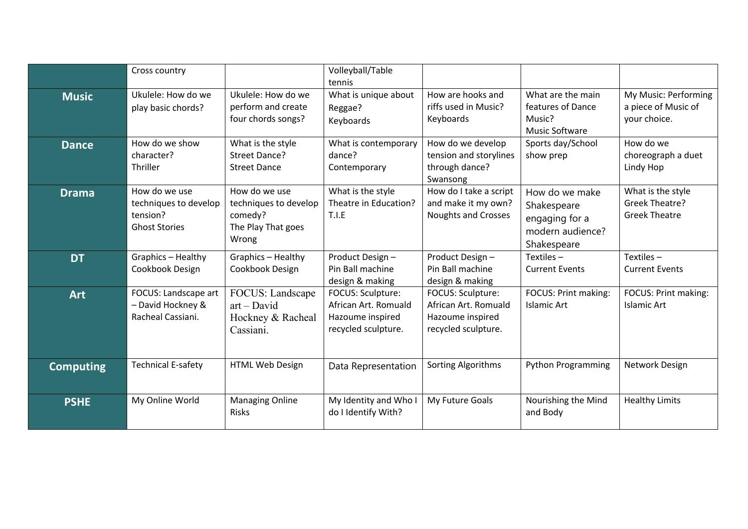|                  | Cross country                                                              |                                                                                  | Volleyball/Table<br>tennis                                                           |                                                                                      |                                                                                    |                                                             |
|------------------|----------------------------------------------------------------------------|----------------------------------------------------------------------------------|--------------------------------------------------------------------------------------|--------------------------------------------------------------------------------------|------------------------------------------------------------------------------------|-------------------------------------------------------------|
| <b>Music</b>     | Ukulele: How do we<br>play basic chords?                                   | Ukulele: How do we<br>perform and create<br>four chords songs?                   | What is unique about<br>Reggae?<br>Keyboards                                         | How are hooks and<br>riffs used in Music?<br>Keyboards                               | What are the main<br>features of Dance<br>Music?<br><b>Music Software</b>          | My Music: Performing<br>a piece of Music of<br>your choice. |
| <b>Dance</b>     | How do we show<br>character?<br>Thriller                                   | What is the style<br>Street Dance?<br><b>Street Dance</b>                        | What is contemporary<br>dance?<br>Contemporary                                       | How do we develop<br>tension and storylines<br>through dance?<br>Swansong            | Sports day/School<br>show prep                                                     | How do we<br>choreograph a duet<br>Lindy Hop                |
| <b>Drama</b>     | How do we use<br>techniques to develop<br>tension?<br><b>Ghost Stories</b> | How do we use<br>techniques to develop<br>comedy?<br>The Play That goes<br>Wrong | What is the style<br>Theatre in Education?<br>T.I.E                                  | How do I take a script<br>and make it my own?<br><b>Noughts and Crosses</b>          | How do we make<br>Shakespeare<br>engaging for a<br>modern audience?<br>Shakespeare | What is the style<br>Greek Theatre?<br><b>Greek Theatre</b> |
| <b>DT</b>        | Graphics - Healthy<br>Cookbook Design                                      | Graphics - Healthy<br>Cookbook Design                                            | Product Design-<br>Pin Ball machine<br>design & making                               | Product Design-<br>Pin Ball machine<br>design & making                               | Textiles $-$<br><b>Current Events</b>                                              | Textiles $-$<br><b>Current Events</b>                       |
| <b>Art</b>       | FOCUS: Landscape art<br>- David Hockney &<br>Racheal Cassiani.             | FOCUS: Landscape<br>$art - David$<br>Hockney & Racheal<br>Cassiani.              | FOCUS: Sculpture:<br>African Art. Romuald<br>Hazoume inspired<br>recycled sculpture. | FOCUS: Sculpture:<br>African Art. Romuald<br>Hazoume inspired<br>recycled sculpture. | FOCUS: Print making:<br><b>Islamic Art</b>                                         | FOCUS: Print making:<br>Islamic Art                         |
| <b>Computing</b> | <b>Technical E-safety</b>                                                  | HTML Web Design                                                                  | Data Representation                                                                  | <b>Sorting Algorithms</b>                                                            | <b>Python Programming</b>                                                          | Network Design                                              |
| <b>PSHE</b>      | My Online World                                                            | <b>Managing Online</b><br>Risks                                                  | My Identity and Who I<br>do I Identify With?                                         | My Future Goals                                                                      | Nourishing the Mind<br>and Body                                                    | <b>Healthy Limits</b>                                       |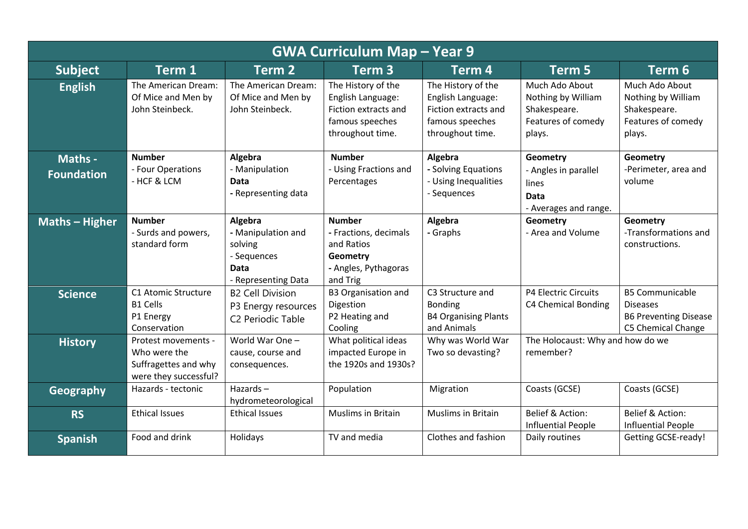| <b>GWA Curriculum Map - Year 9</b> |                                                                                      |                                                                                               |                                                                                                               |                                                                                                        |                                                                                      |                                                                                                        |  |
|------------------------------------|--------------------------------------------------------------------------------------|-----------------------------------------------------------------------------------------------|---------------------------------------------------------------------------------------------------------------|--------------------------------------------------------------------------------------------------------|--------------------------------------------------------------------------------------|--------------------------------------------------------------------------------------------------------|--|
| <b>Subject</b>                     | Term 1                                                                               | Term <sub>2</sub>                                                                             | Term <sub>3</sub>                                                                                             | Term <sub>4</sub>                                                                                      | Term 5                                                                               | Term 6                                                                                                 |  |
| <b>English</b>                     | The American Dream:<br>Of Mice and Men by<br>John Steinbeck.                         | The American Dream:<br>Of Mice and Men by<br>John Steinbeck.                                  | The History of the<br>English Language:<br><b>Fiction extracts and</b><br>famous speeches<br>throughout time. | The History of the<br>English Language:<br>Fiction extracts and<br>famous speeches<br>throughout time. | Much Ado About<br>Nothing by William<br>Shakespeare.<br>Features of comedy<br>plays. | Much Ado About<br>Nothing by William<br>Shakespeare.<br>Features of comedy<br>plays.                   |  |
| Maths -<br><b>Foundation</b>       | <b>Number</b><br>- Four Operations<br>- HCF & LCM                                    | Algebra<br>- Manipulation<br><b>Data</b><br>- Representing data                               | <b>Number</b><br>- Using Fractions and<br>Percentages                                                         | Algebra<br>- Solving Equations<br>- Using Inequalities<br>- Sequences                                  | Geometry<br>- Angles in parallel<br>lines<br>Data<br>- Averages and range.           | Geometry<br>-Perimeter, area and<br>volume                                                             |  |
| <b>Maths - Higher</b>              | <b>Number</b><br>- Surds and powers,<br>standard form                                | Algebra<br>- Manipulation and<br>solving<br>- Sequences<br><b>Data</b><br>- Representing Data | <b>Number</b><br>- Fractions, decimals<br>and Ratios<br>Geometry<br>- Angles, Pythagoras<br>and Trig          | Algebra<br>- Graphs                                                                                    | Geometry<br>- Area and Volume                                                        | <b>Geometry</b><br>-Transformations and<br>constructions.                                              |  |
| <b>Science</b>                     | C1 Atomic Structure<br><b>B1 Cells</b><br>P1 Energy<br>Conservation                  | <b>B2 Cell Division</b><br>P3 Energy resources<br>C <sub>2</sub> Periodic Table               | <b>B3 Organisation and</b><br>Digestion<br>P2 Heating and<br>Cooling                                          | C3 Structure and<br><b>Bonding</b><br><b>B4 Organising Plants</b><br>and Animals                       | P4 Electric Circuits<br>C4 Chemical Bonding                                          | <b>B5 Communicable</b><br><b>Diseases</b><br><b>B6 Preventing Disease</b><br><b>C5 Chemical Change</b> |  |
| <b>History</b>                     | Protest movements -<br>Who were the<br>Suffragettes and why<br>were they successful? | World War One -<br>cause, course and<br>consequences.                                         | What political ideas<br>impacted Europe in<br>the 1920s and 1930s?                                            | Why was World War<br>Two so devasting?                                                                 | The Holocaust: Why and how do we<br>remember?                                        |                                                                                                        |  |
| Geography                          | Hazards - tectonic                                                                   | Hazards $-$<br>hydrometeorological                                                            | Population                                                                                                    | Migration                                                                                              | Coasts (GCSE)                                                                        | Coasts (GCSE)                                                                                          |  |
| <b>RS</b>                          | <b>Ethical Issues</b>                                                                | <b>Ethical Issues</b>                                                                         | Muslims in Britain                                                                                            | Muslims in Britain                                                                                     | Belief & Action:<br><b>Influential People</b>                                        | Belief & Action:<br><b>Influential People</b>                                                          |  |
| <b>Spanish</b>                     | Food and drink                                                                       | Holidays                                                                                      | TV and media                                                                                                  | Clothes and fashion                                                                                    | Daily routines                                                                       | <b>Getting GCSE-ready!</b>                                                                             |  |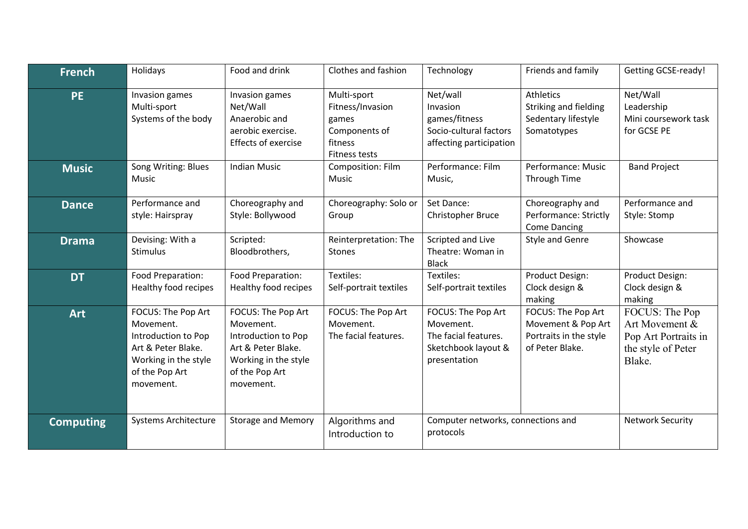| <b>French</b>    | Holidays                                                                                                                            | Food and drink                                                                                                                      | Clothes and fashion                                                                          | Technology                                                                                     | Friends and family                                                                    | <b>Getting GCSE-ready!</b>                                                               |
|------------------|-------------------------------------------------------------------------------------------------------------------------------------|-------------------------------------------------------------------------------------------------------------------------------------|----------------------------------------------------------------------------------------------|------------------------------------------------------------------------------------------------|---------------------------------------------------------------------------------------|------------------------------------------------------------------------------------------|
| <b>PE</b>        | Invasion games<br>Multi-sport<br>Systems of the body                                                                                | Invasion games<br>Net/Wall<br>Anaerobic and<br>aerobic exercise.<br>Effects of exercise                                             | Multi-sport<br>Fitness/Invasion<br>games<br>Components of<br>fitness<br><b>Fitness tests</b> | Net/wall<br>Invasion<br>games/fitness<br>Socio-cultural factors<br>affecting participation     | <b>Athletics</b><br>Striking and fielding<br>Sedentary lifestyle<br>Somatotypes       | Net/Wall<br>Leadership<br>Mini coursework task<br>for GCSE PE                            |
| <b>Music</b>     | Song Writing: Blues<br>Music                                                                                                        | <b>Indian Music</b>                                                                                                                 | Composition: Film<br><b>Music</b>                                                            | Performance: Film<br>Music,                                                                    | Performance: Music<br>Through Time                                                    | <b>Band Project</b>                                                                      |
| <b>Dance</b>     | Performance and<br>style: Hairspray                                                                                                 | Choreography and<br>Style: Bollywood                                                                                                | Choreography: Solo or<br>Group                                                               | Set Dance:<br>Christopher Bruce                                                                | Choreography and<br>Performance: Strictly<br><b>Come Dancing</b>                      | Performance and<br>Style: Stomp                                                          |
| <b>Drama</b>     | Devising: With a<br><b>Stimulus</b>                                                                                                 | Scripted:<br>Bloodbrothers,                                                                                                         | Reinterpretation: The<br><b>Stones</b>                                                       | Scripted and Live<br>Theatre: Woman in<br><b>Black</b>                                         | <b>Style and Genre</b>                                                                | Showcase                                                                                 |
| <b>DT</b>        | Food Preparation:<br>Healthy food recipes                                                                                           | Food Preparation:<br>Healthy food recipes                                                                                           | Textiles:<br>Self-portrait textiles                                                          | Textiles:<br>Self-portrait textiles                                                            | Product Design:<br>Clock design &<br>making                                           | Product Design:<br>Clock design &<br>making                                              |
| <b>Art</b>       | FOCUS: The Pop Art<br>Movement.<br>Introduction to Pop<br>Art & Peter Blake.<br>Working in the style<br>of the Pop Art<br>movement. | FOCUS: The Pop Art<br>Movement.<br>Introduction to Pop<br>Art & Peter Blake.<br>Working in the style<br>of the Pop Art<br>movement. | FOCUS: The Pop Art<br>Movement.<br>The facial features.                                      | FOCUS: The Pop Art<br>Movement.<br>The facial features.<br>Sketchbook layout &<br>presentation | FOCUS: The Pop Art<br>Movement & Pop Art<br>Portraits in the style<br>of Peter Blake. | FOCUS: The Pop<br>Art Movement &<br>Pop Art Portraits in<br>the style of Peter<br>Blake. |
| <b>Computing</b> | <b>Systems Architecture</b>                                                                                                         | <b>Storage and Memory</b>                                                                                                           | Algorithms and<br>Introduction to                                                            | Computer networks, connections and<br>protocols                                                |                                                                                       | <b>Network Security</b>                                                                  |